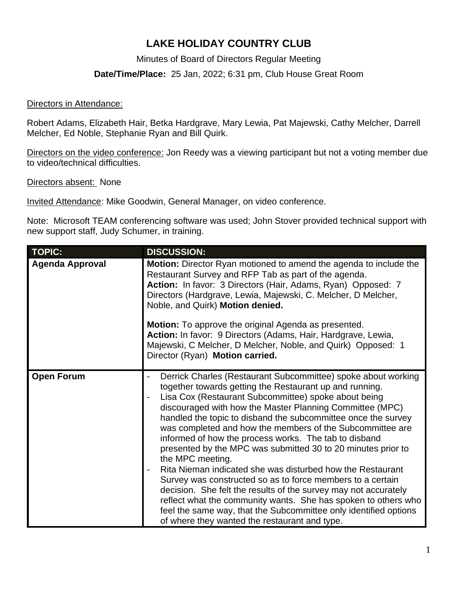## **LAKE HOLIDAY COUNTRY CLUB**

Minutes of Board of Directors Regular Meeting

**Date/Time/Place:** 25 Jan, 2022; 6:31 pm, Club House Great Room

## Directors in Attendance:

Robert Adams, Elizabeth Hair, Betka Hardgrave, Mary Lewia, Pat Majewski, Cathy Melcher, Darrell Melcher, Ed Noble, Stephanie Ryan and Bill Quirk.

Directors on the video conference: Jon Reedy was a viewing participant but not a voting member due to video/technical difficulties.

Directors absent: None

Invited Attendance: Mike Goodwin, General Manager, on video conference.

Note: Microsoft TEAM conferencing software was used; John Stover provided technical support with new support staff, Judy Schumer, in training.

| <b>TOPIC:</b>          | <b>DISCUSSION:</b>                                                                                                                                                                                                                                                                                                                                                                                                                                                                                                                                                                                                                                                                                                                                                                                                                                                                                            |
|------------------------|---------------------------------------------------------------------------------------------------------------------------------------------------------------------------------------------------------------------------------------------------------------------------------------------------------------------------------------------------------------------------------------------------------------------------------------------------------------------------------------------------------------------------------------------------------------------------------------------------------------------------------------------------------------------------------------------------------------------------------------------------------------------------------------------------------------------------------------------------------------------------------------------------------------|
| <b>Agenda Approval</b> | Motion: Director Ryan motioned to amend the agenda to include the<br>Restaurant Survey and RFP Tab as part of the agenda.<br>Action: In favor: 3 Directors (Hair, Adams, Ryan) Opposed: 7<br>Directors (Hardgrave, Lewia, Majewski, C. Melcher, D Melcher,<br>Noble, and Quirk) Motion denied.<br><b>Motion:</b> To approve the original Agenda as presented.<br>Action: In favor: 9 Directors (Adams, Hair, Hardgrave, Lewia,<br>Majewski, C Melcher, D Melcher, Noble, and Quirk) Opposed: 1<br>Director (Ryan) Motion carried.                                                                                                                                                                                                                                                                                                                                                                             |
| <b>Open Forum</b>      | Derrick Charles (Restaurant Subcommittee) spoke about working<br>together towards getting the Restaurant up and running.<br>Lisa Cox (Restaurant Subcommittee) spoke about being<br>discouraged with how the Master Planning Committee (MPC)<br>handled the topic to disband the subcommittee once the survey<br>was completed and how the members of the Subcommittee are<br>informed of how the process works. The tab to disband<br>presented by the MPC was submitted 30 to 20 minutes prior to<br>the MPC meeting.<br>Rita Nieman indicated she was disturbed how the Restaurant<br>Survey was constructed so as to force members to a certain<br>decision. She felt the results of the survey may not accurately<br>reflect what the community wants. She has spoken to others who<br>feel the same way, that the Subcommittee only identified options<br>of where they wanted the restaurant and type. |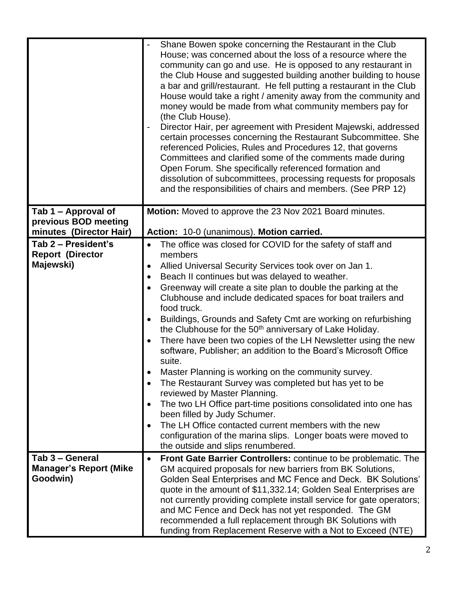|                               | Shane Bowen spoke concerning the Restaurant in the Club<br>House; was concerned about the loss of a resource where the<br>community can go and use. He is opposed to any restaurant in<br>the Club House and suggested building another building to house<br>a bar and grill/restaurant. He fell putting a restaurant in the Club<br>House would take a right / amenity away from the community and<br>money would be made from what community members pay for<br>(the Club House).<br>Director Hair, per agreement with President Majewski, addressed<br>certain processes concerning the Restaurant Subcommittee. She<br>referenced Policies, Rules and Procedures 12, that governs<br>Committees and clarified some of the comments made during<br>Open Forum. She specifically referenced formation and<br>dissolution of subcommittees, processing requests for proposals<br>and the responsibilities of chairs and members. (See PRP 12) |
|-------------------------------|------------------------------------------------------------------------------------------------------------------------------------------------------------------------------------------------------------------------------------------------------------------------------------------------------------------------------------------------------------------------------------------------------------------------------------------------------------------------------------------------------------------------------------------------------------------------------------------------------------------------------------------------------------------------------------------------------------------------------------------------------------------------------------------------------------------------------------------------------------------------------------------------------------------------------------------------|
| Tab 1 – Approval of           | Motion: Moved to approve the 23 Nov 2021 Board minutes.                                                                                                                                                                                                                                                                                                                                                                                                                                                                                                                                                                                                                                                                                                                                                                                                                                                                                        |
| previous BOD meeting          |                                                                                                                                                                                                                                                                                                                                                                                                                                                                                                                                                                                                                                                                                                                                                                                                                                                                                                                                                |
| minutes (Director Hair)       | Action: 10-0 (unanimous). Motion carried.                                                                                                                                                                                                                                                                                                                                                                                                                                                                                                                                                                                                                                                                                                                                                                                                                                                                                                      |
| Tab 2 - President's           | The office was closed for COVID for the safety of staff and                                                                                                                                                                                                                                                                                                                                                                                                                                                                                                                                                                                                                                                                                                                                                                                                                                                                                    |
| <b>Report (Director</b>       | members                                                                                                                                                                                                                                                                                                                                                                                                                                                                                                                                                                                                                                                                                                                                                                                                                                                                                                                                        |
| Majewski)                     | Allied Universal Security Services took over on Jan 1.                                                                                                                                                                                                                                                                                                                                                                                                                                                                                                                                                                                                                                                                                                                                                                                                                                                                                         |
|                               | Beach II continues but was delayed to weather.                                                                                                                                                                                                                                                                                                                                                                                                                                                                                                                                                                                                                                                                                                                                                                                                                                                                                                 |
|                               | Greenway will create a site plan to double the parking at the                                                                                                                                                                                                                                                                                                                                                                                                                                                                                                                                                                                                                                                                                                                                                                                                                                                                                  |
|                               | Clubhouse and include dedicated spaces for boat trailers and                                                                                                                                                                                                                                                                                                                                                                                                                                                                                                                                                                                                                                                                                                                                                                                                                                                                                   |
|                               | food truck.                                                                                                                                                                                                                                                                                                                                                                                                                                                                                                                                                                                                                                                                                                                                                                                                                                                                                                                                    |
|                               | Buildings, Grounds and Safety Cmt are working on refurbishing                                                                                                                                                                                                                                                                                                                                                                                                                                                                                                                                                                                                                                                                                                                                                                                                                                                                                  |
|                               | the Clubhouse for the 50 <sup>th</sup> anniversary of Lake Holiday.                                                                                                                                                                                                                                                                                                                                                                                                                                                                                                                                                                                                                                                                                                                                                                                                                                                                            |
|                               | There have been two copies of the LH Newsletter using the new                                                                                                                                                                                                                                                                                                                                                                                                                                                                                                                                                                                                                                                                                                                                                                                                                                                                                  |
|                               | software, Publisher; an addition to the Board's Microsoft Office                                                                                                                                                                                                                                                                                                                                                                                                                                                                                                                                                                                                                                                                                                                                                                                                                                                                               |
|                               | suite.                                                                                                                                                                                                                                                                                                                                                                                                                                                                                                                                                                                                                                                                                                                                                                                                                                                                                                                                         |
|                               | Master Planning is working on the community survey.                                                                                                                                                                                                                                                                                                                                                                                                                                                                                                                                                                                                                                                                                                                                                                                                                                                                                            |
|                               | The Restaurant Survey was completed but has yet to be<br>reviewed by Master Planning.                                                                                                                                                                                                                                                                                                                                                                                                                                                                                                                                                                                                                                                                                                                                                                                                                                                          |
|                               | The two LH Office part-time positions consolidated into one has                                                                                                                                                                                                                                                                                                                                                                                                                                                                                                                                                                                                                                                                                                                                                                                                                                                                                |
|                               | been filled by Judy Schumer.                                                                                                                                                                                                                                                                                                                                                                                                                                                                                                                                                                                                                                                                                                                                                                                                                                                                                                                   |
|                               | The LH Office contacted current members with the new                                                                                                                                                                                                                                                                                                                                                                                                                                                                                                                                                                                                                                                                                                                                                                                                                                                                                           |
|                               | configuration of the marina slips. Longer boats were moved to                                                                                                                                                                                                                                                                                                                                                                                                                                                                                                                                                                                                                                                                                                                                                                                                                                                                                  |
|                               | the outside and slips renumbered.                                                                                                                                                                                                                                                                                                                                                                                                                                                                                                                                                                                                                                                                                                                                                                                                                                                                                                              |
| Tab 3 - General               | Front Gate Barrier Controllers: continue to be problematic. The                                                                                                                                                                                                                                                                                                                                                                                                                                                                                                                                                                                                                                                                                                                                                                                                                                                                                |
| <b>Manager's Report (Mike</b> | GM acquired proposals for new barriers from BK Solutions,                                                                                                                                                                                                                                                                                                                                                                                                                                                                                                                                                                                                                                                                                                                                                                                                                                                                                      |
| Goodwin)                      | Golden Seal Enterprises and MC Fence and Deck. BK Solutions'                                                                                                                                                                                                                                                                                                                                                                                                                                                                                                                                                                                                                                                                                                                                                                                                                                                                                   |
|                               | quote in the amount of \$11,332.14; Golden Seal Enterprises are                                                                                                                                                                                                                                                                                                                                                                                                                                                                                                                                                                                                                                                                                                                                                                                                                                                                                |
|                               | not currently providing complete install service for gate operators;<br>and MC Fence and Deck has not yet responded. The GM                                                                                                                                                                                                                                                                                                                                                                                                                                                                                                                                                                                                                                                                                                                                                                                                                    |
|                               | recommended a full replacement through BK Solutions with                                                                                                                                                                                                                                                                                                                                                                                                                                                                                                                                                                                                                                                                                                                                                                                                                                                                                       |
|                               | funding from Replacement Reserve with a Not to Exceed (NTE)                                                                                                                                                                                                                                                                                                                                                                                                                                                                                                                                                                                                                                                                                                                                                                                                                                                                                    |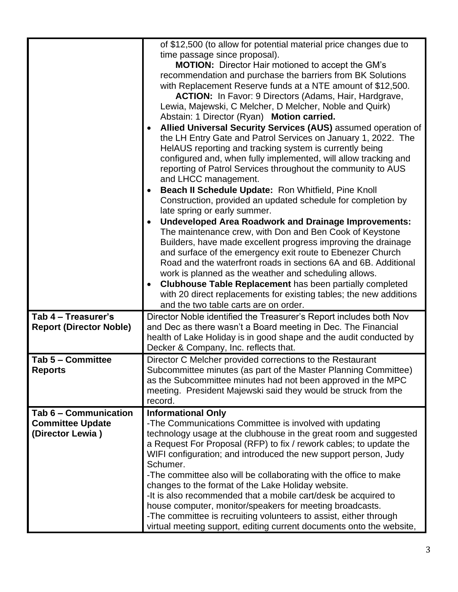|                                | of \$12,500 (to allow for potential material price changes due to<br>time passage since proposal).<br><b>MOTION:</b> Director Hair motioned to accept the GM's<br>recommendation and purchase the barriers from BK Solutions<br>with Replacement Reserve funds at a NTE amount of \$12,500.<br><b>ACTION:</b> In Favor: 9 Directors (Adams, Hair, Hardgrave,<br>Lewia, Majewski, C Melcher, D Melcher, Noble and Quirk)<br>Abstain: 1 Director (Ryan) Motion carried.<br>Allied Universal Security Services (AUS) assumed operation of<br>the LH Entry Gate and Patrol Services on January 1, 2022. The<br>HeIAUS reporting and tracking system is currently being<br>configured and, when fully implemented, will allow tracking and<br>reporting of Patrol Services throughout the community to AUS<br>and LHCC management.<br>Beach II Schedule Update: Ron Whitfield, Pine Knoll<br>Construction, provided an updated schedule for completion by<br>late spring or early summer.<br><b>Undeveloped Area Roadwork and Drainage Improvements:</b><br>The maintenance crew, with Don and Ben Cook of Keystone<br>Builders, have made excellent progress improving the drainage<br>and surface of the emergency exit route to Ebenezer Church<br>Road and the waterfront roads in sections 6A and 6B. Additional<br>work is planned as the weather and scheduling allows.<br><b>Clubhouse Table Replacement has been partially completed</b><br>with 20 direct replacements for existing tables; the new additions<br>and the two table carts are on order. |
|--------------------------------|-------------------------------------------------------------------------------------------------------------------------------------------------------------------------------------------------------------------------------------------------------------------------------------------------------------------------------------------------------------------------------------------------------------------------------------------------------------------------------------------------------------------------------------------------------------------------------------------------------------------------------------------------------------------------------------------------------------------------------------------------------------------------------------------------------------------------------------------------------------------------------------------------------------------------------------------------------------------------------------------------------------------------------------------------------------------------------------------------------------------------------------------------------------------------------------------------------------------------------------------------------------------------------------------------------------------------------------------------------------------------------------------------------------------------------------------------------------------------------------------------------------------------------------------------------------|
| Tab 4 - Treasurer's            | Director Noble identified the Treasurer's Report includes both Nov                                                                                                                                                                                                                                                                                                                                                                                                                                                                                                                                                                                                                                                                                                                                                                                                                                                                                                                                                                                                                                                                                                                                                                                                                                                                                                                                                                                                                                                                                          |
| <b>Report (Director Noble)</b> | and Dec as there wasn't a Board meeting in Dec. The Financial                                                                                                                                                                                                                                                                                                                                                                                                                                                                                                                                                                                                                                                                                                                                                                                                                                                                                                                                                                                                                                                                                                                                                                                                                                                                                                                                                                                                                                                                                               |
|                                | health of Lake Holiday is in good shape and the audit conducted by<br>Decker & Company, Inc. reflects that.                                                                                                                                                                                                                                                                                                                                                                                                                                                                                                                                                                                                                                                                                                                                                                                                                                                                                                                                                                                                                                                                                                                                                                                                                                                                                                                                                                                                                                                 |
| Tab 5 - Committee              | Director C Melcher provided corrections to the Restaurant                                                                                                                                                                                                                                                                                                                                                                                                                                                                                                                                                                                                                                                                                                                                                                                                                                                                                                                                                                                                                                                                                                                                                                                                                                                                                                                                                                                                                                                                                                   |
| <b>Reports</b>                 | Subcommittee minutes (as part of the Master Planning Committee)                                                                                                                                                                                                                                                                                                                                                                                                                                                                                                                                                                                                                                                                                                                                                                                                                                                                                                                                                                                                                                                                                                                                                                                                                                                                                                                                                                                                                                                                                             |
|                                | as the Subcommittee minutes had not been approved in the MPC                                                                                                                                                                                                                                                                                                                                                                                                                                                                                                                                                                                                                                                                                                                                                                                                                                                                                                                                                                                                                                                                                                                                                                                                                                                                                                                                                                                                                                                                                                |
|                                | meeting. President Majewski said they would be struck from the<br>record.                                                                                                                                                                                                                                                                                                                                                                                                                                                                                                                                                                                                                                                                                                                                                                                                                                                                                                                                                                                                                                                                                                                                                                                                                                                                                                                                                                                                                                                                                   |
| Tab 6 - Communication          | <b>Informational Only</b>                                                                                                                                                                                                                                                                                                                                                                                                                                                                                                                                                                                                                                                                                                                                                                                                                                                                                                                                                                                                                                                                                                                                                                                                                                                                                                                                                                                                                                                                                                                                   |
| <b>Committee Update</b>        | -The Communications Committee is involved with updating                                                                                                                                                                                                                                                                                                                                                                                                                                                                                                                                                                                                                                                                                                                                                                                                                                                                                                                                                                                                                                                                                                                                                                                                                                                                                                                                                                                                                                                                                                     |
| (Director Lewia)               | technology usage at the clubhouse in the great room and suggested                                                                                                                                                                                                                                                                                                                                                                                                                                                                                                                                                                                                                                                                                                                                                                                                                                                                                                                                                                                                                                                                                                                                                                                                                                                                                                                                                                                                                                                                                           |
|                                | a Request For Proposal (RFP) to fix / rework cables; to update the                                                                                                                                                                                                                                                                                                                                                                                                                                                                                                                                                                                                                                                                                                                                                                                                                                                                                                                                                                                                                                                                                                                                                                                                                                                                                                                                                                                                                                                                                          |
|                                | WIFI configuration; and introduced the new support person, Judy                                                                                                                                                                                                                                                                                                                                                                                                                                                                                                                                                                                                                                                                                                                                                                                                                                                                                                                                                                                                                                                                                                                                                                                                                                                                                                                                                                                                                                                                                             |
|                                | Schumer.<br>-The committee also will be collaborating with the office to make                                                                                                                                                                                                                                                                                                                                                                                                                                                                                                                                                                                                                                                                                                                                                                                                                                                                                                                                                                                                                                                                                                                                                                                                                                                                                                                                                                                                                                                                               |
|                                | changes to the format of the Lake Holiday website.                                                                                                                                                                                                                                                                                                                                                                                                                                                                                                                                                                                                                                                                                                                                                                                                                                                                                                                                                                                                                                                                                                                                                                                                                                                                                                                                                                                                                                                                                                          |
|                                | -It is also recommended that a mobile cart/desk be acquired to                                                                                                                                                                                                                                                                                                                                                                                                                                                                                                                                                                                                                                                                                                                                                                                                                                                                                                                                                                                                                                                                                                                                                                                                                                                                                                                                                                                                                                                                                              |
|                                | house computer, monitor/speakers for meeting broadcasts.                                                                                                                                                                                                                                                                                                                                                                                                                                                                                                                                                                                                                                                                                                                                                                                                                                                                                                                                                                                                                                                                                                                                                                                                                                                                                                                                                                                                                                                                                                    |
|                                | -The committee is recruiting volunteers to assist, either through                                                                                                                                                                                                                                                                                                                                                                                                                                                                                                                                                                                                                                                                                                                                                                                                                                                                                                                                                                                                                                                                                                                                                                                                                                                                                                                                                                                                                                                                                           |
|                                | virtual meeting support, editing current documents onto the website,                                                                                                                                                                                                                                                                                                                                                                                                                                                                                                                                                                                                                                                                                                                                                                                                                                                                                                                                                                                                                                                                                                                                                                                                                                                                                                                                                                                                                                                                                        |